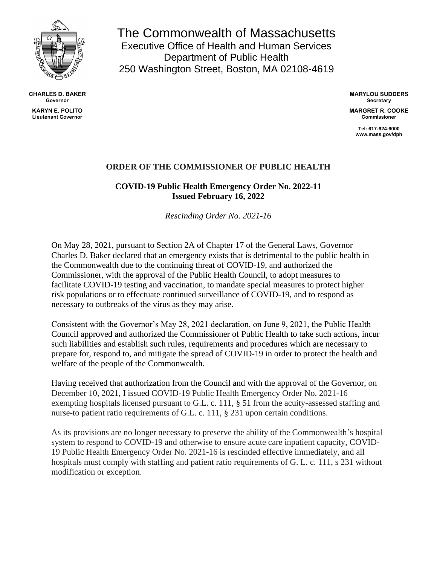

**CHARLES D. BAKER Governor**

**KARYN E. POLITO Lieutenant Governor**

The Commonwealth of Massachusetts Executive Office of Health and Human Services Department of Public Health 250 Washington Street, Boston, MA 02108-4619

> **MARYLOU SUDDERS Secretary**

**MARGRET R. COOKE Commissioner**

> **Tel: 617-624-6000 www.mass.gov/dph**

## **ORDER OF THE COMMISSIONER OF PUBLIC HEALTH**

**COVID-19 Public Health Emergency Order No. 2022-11 Issued February 16, 2022**

*Rescinding Order No. 2021-16*

On May 28, 2021, pursuant to Section 2A of Chapter 17 of the General Laws, Governor Charles D. Baker declared that an emergency exists that is detrimental to the public health in the Commonwealth due to the continuing threat of COVID-19, and authorized the Commissioner, with the approval of the Public Health Council, to adopt measures to facilitate COVID-19 testing and vaccination, to mandate special measures to protect higher risk populations or to effectuate continued surveillance of COVID-19, and to respond as necessary to outbreaks of the virus as they may arise.

Consistent with the Governor's May 28, 2021 declaration, on June 9, 2021, the Public Health Council approved and authorized the Commissioner of Public Health to take such actions, incur such liabilities and establish such rules, requirements and procedures which are necessary to prepare for, respond to, and mitigate the spread of COVID-19 in order to protect the health and welfare of the people of the Commonwealth.

Having received that authorization from the Council and with the approval of the Governor, on December 10, 2021, I issued COVID-19 Public Health Emergency Order No. 2021-16 exempting hospitals licensed pursuant to G.L. c. 111, § 51 from the acuity-assessed staffing and nurse-to patient ratio requirements of G.L. c. 111, § 231 upon certain conditions.

As its provisions are no longer necessary to preserve the ability of the Commonwealth's hospital system to respond to COVID-19 and otherwise to ensure acute care inpatient capacity, COVID-19 Public Health Emergency Order No. 2021-16 is rescinded effective immediately, and all hospitals must comply with staffing and patient ratio requirements of G. L. c. 111, s 231 without modification or exception.